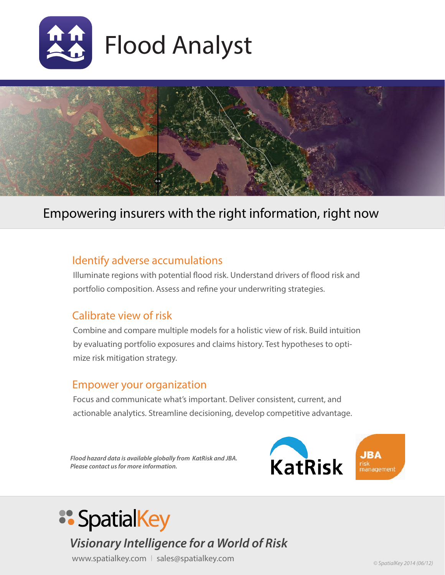



## Empowering insurers with the right information, right now

#### Identify adverse accumulations

Illuminate regions with potential flood risk. Understand drivers of flood risk and portfolio composition. Assess and refine your underwriting strategies.

#### Calibrate view of risk

Combine and compare multiple models for a holistic view of risk. Build intuition by evaluating portfolio exposures and claims history. Test hypotheses to optimize risk mitigation strategy.

#### Empower your organization

Focus and communicate what's important. Deliver consistent, current, and actionable analytics. Streamline decisioning, develop competitive advantage.

*Flood hazard data is available globally from KatRisk and JBA. Please contact us for more information.*



# **:: SpatialKey**

# *Visionary Intelligence for a World of Risk*

www.spatialkey.com | sales@spatialkey.com